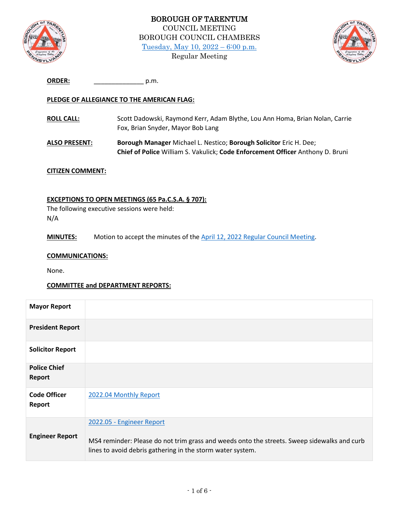



| <b>ORDER:</b> | .p.m |
|---------------|------|
|               |      |

# **PLEDGE OF ALLEGIANCE TO THE AMERICAN FLAG:**

- **ROLL CALL:** Scott Dadowski, Raymond Kerr, Adam Blythe, Lou Ann Homa, Brian Nolan, Carrie Fox, Brian Snyder, Mayor Bob Lang
- **ALSO PRESENT: Borough Manager** Michael L. Nestico; **Borough Solicitor** Eric H. Dee; **Chief of Police** William S. Vakulick; **Code Enforcement Officer** Anthony D. Bruni

## **CITIZEN COMMENT:**

## **EXCEPTIONS TO OPEN MEETINGS (65 Pa.C.S.A. § 707):**

The following executive sessions were held: N/A

**MINUTES:** Motion to accept the minutes of the [April 12, 2022 Regular Council Meeting.](http://tarentumboro.com/wp-content/uploads/2022/05/2022.04.12-Minutes.pdf)

#### **COMMUNICATIONS:**

None.

### **COMMITTEE and DEPARTMENT REPORTS:**

| <b>Mayor Report</b>           |                                                                                                                                                                                        |
|-------------------------------|----------------------------------------------------------------------------------------------------------------------------------------------------------------------------------------|
| <b>President Report</b>       |                                                                                                                                                                                        |
| <b>Solicitor Report</b>       |                                                                                                                                                                                        |
| <b>Police Chief</b><br>Report |                                                                                                                                                                                        |
| <b>Code Officer</b><br>Report | 2022.04 Monthly Report                                                                                                                                                                 |
| <b>Engineer Report</b>        | 2022.05 - Engineer Report<br>MS4 reminder: Please do not trim grass and weeds onto the streets. Sweep sidewalks and curb<br>lines to avoid debris gathering in the storm water system. |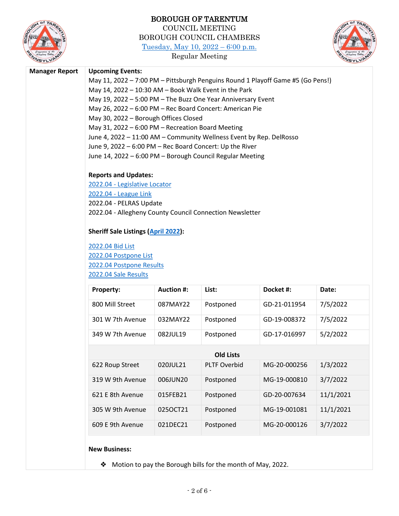

# BOROUGH OF TARENTUM COUNCIL MEETING BOROUGH COUNCIL CHAMBERS [Tuesday, May 10, 2022](http://tarentumboro.com/resources/meetings/2022-04-12-regular-council-meeting) – 6:00 p.m.

Regular Meeting



### **Manager Report Upcoming Events:**

May 11, 2022 – 7:00 PM – Pittsburgh Penguins Round 1 Playoff Game #5 (Go Pens!) May 14, 2022 – 10:30 AM – Book Walk Event in the Park May 19, 2022 – 5:00 PM – The Buzz One Year Anniversary Event May 26, 2022 – 6:00 PM – Rec Board Concert: American Pie May 30, 2022 – Borough Offices Closed May 31, 2022 – 6:00 PM – Recreation Board Meeting June 4, 2022 – 11:00 AM – Community Wellness Event by Rep. DelRosso June 9, 2022 – 6:00 PM – Rec Board Concert: Up the River June 14, 2022 – 6:00 PM – Borough Council Regular Meeting

## **Reports and Updates:**

2022.04 - [Legislative Locator](http://tarentumboro.com/wp-content/uploads/2022/05/2022.04-Legislative-Locator.pdf) 2022.04 - [League Link](http://tarentumboro.com/wp-content/uploads/2022/05/2022.04-League-Link.pdf) 2022.04 - PELRAS Update 2022.04 - Allegheny County Council Connection Newsletter

### **Sheriff Sale Listings [\(April](https://www.sheriffalleghenycounty.com/sheriffsale.html) 2022):**

[2022.04 Bid List](http://tarentumboro.com/wp-content/uploads/2022/05/R22-09-Slum-and-Blight-Resolution-Demolition.pdf) [2022.04 Postpone List](http://tarentumboro.com/wp-content/uploads/2022/05/2022.04-postpone.pdf) [2022.04 Postpone Results](http://tarentumboro.com/wp-content/uploads/2022/05/2022.04-postpone_results.pdf) [2022.04 Sale Results](http://tarentumboro.com/wp-content/uploads/2022/05/2022.04-sale_results.pdf)

| <b>Property:</b> | <b>Auction #:</b> | List:               | Docket #:    | Date:     |
|------------------|-------------------|---------------------|--------------|-----------|
| 800 Mill Street  | 087MAY22          | Postponed           | GD-21-011954 | 7/5/2022  |
| 301 W 7th Avenue | 032MAY22          | Postponed           | GD-19-008372 | 7/5/2022  |
| 349 W 7th Avenue | 082JUL19          | Postponed           | GD-17-016997 | 5/2/2022  |
| <b>Old Lists</b> |                   |                     |              |           |
| 622 Roup Street  | 020JUL21          | <b>PLTF Overbid</b> | MG-20-000256 | 1/3/2022  |
| 319 W 9th Avenue | 006JUN20          | Postponed           | MG-19-000810 | 3/7/2022  |
| 621 E 8th Avenue | 015FEB21          | Postponed           | GD-20-007634 | 11/1/2021 |
| 305 W 9th Avenue | 025OCT21          | Postponed           | MG-19-001081 | 11/1/2021 |
| 609 E 9th Avenue | 021DEC21          | Postponed           | MG-20-000126 | 3/7/2022  |

### **New Business:**

❖ Motion to pay the Borough bills for the month of May, 2022.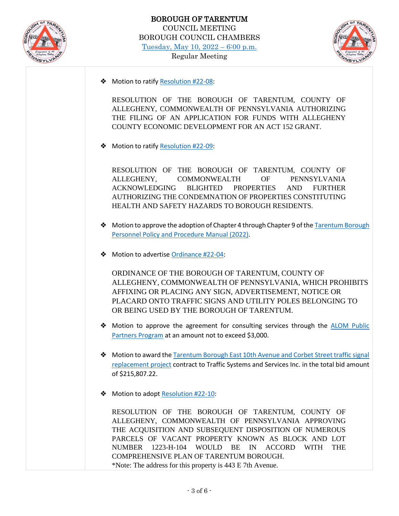



❖ Motion to ratif[y Resolution #22-08:](http://tarentumboro.com/wp-content/uploads/2022/05/R22-08-Concurring-Resolution-Act-152-Grant-Demolition.pdf)

RESOLUTION OF THE BOROUGH OF TARENTUM, COUNTY OF ALLEGHENY, COMMONWEALTH OF PENNSYLVANIA AUTHORIZING THE FILING OF AN APPLICATION FOR FUNDS WITH ALLEGHENY COUNTY ECONOMIC DEVELOPMENT FOR AN ACT 152 GRANT.

❖ Motion to ratif[y Resolution #22-09:](http://tarentumboro.com/wp-content/uploads/2022/05/R22-09-Slum-and-Blight-Resolution-Demolition.pdf)

RESOLUTION OF THE BOROUGH OF TARENTUM, COUNTY OF ALLEGHENY, COMMONWEALTH OF PENNSYLVANIA ACKNOWLEDGING BLIGHTED PROPERTIES AND FURTHER AUTHORIZING THE CONDEMNATION OF PROPERTIES CONSTITUTING HEALTH AND SAFETY HAZARDS TO BOROUGH RESIDENTS.

- ◆ Motion to approve the adoption of Chapter 4 through Chapter 9 of the Tarentum Borough [Personnel Policy and Procedure Manual \(2022\).](http://tarentumboro.com/wp-content/uploads/2022/05/Tarentum-Borough-Personnel-Policy-and-Procedure-Manual-2022-Draft.pdf)
- ❖ Motion to advertise [Ordinance #22-04:](http://tarentumboro.com/wp-content/uploads/2022/05/22-04-Utility-Pole-Posting-Prohibition-Draft.pdf)

ORDINANCE OF THE BOROUGH OF TARENTUM, COUNTY OF ALLEGHENY, COMMONWEALTH OF PENNSYLVANIA, WHICH PROHIBITS AFFIXING OR PLACING ANY SIGN, ADVERTISEMENT, NOTICE OR PLACARD ONTO TRAFFIC SIGNS AND UTILITY POLES BELONGING TO OR BEING USED BY THE BOROUGH OF TARENTUM.

- ◆ Motion to approve the agreement for consulting services through the **ALOM Public** [Partners Program](http://tarentumboro.com/wp-content/uploads/2022/05/2022.05.10-Tarentum-Public-Partners-Proposal-Letter.pdf) at an amount not to exceed \$3,000.
- ❖ Motion to award the [Tarentum Borough East 10th Avenue and Corbet Street traffic signal](http://tarentumboro.com/wp-content/uploads/2022/05/2022.04.29-Bid-Tabulation-Signal-Replacement-E-10th-Ave-and-Corbet-St-1-2022.pdf)  [replacement project](http://tarentumboro.com/wp-content/uploads/2022/05/2022.04.29-Bid-Tabulation-Signal-Replacement-E-10th-Ave-and-Corbet-St-1-2022.pdf) contract to Traffic Systems and Services Inc. in the total bid amount of \$215,807.22.
- ❖ Motion to adopt [Resolution #22-10:](http://tarentumboro.com/wp-content/uploads/2022/05/R22-10-Vacant-Property-Recovery-Program-1223-H-104-Draft.pdf)

RESOLUTION OF THE BOROUGH OF TARENTUM, COUNTY OF ALLEGHENY, COMMONWEALTH OF PENNSYLVANIA APPROVING THE ACQUISITION AND SUBSEQUENT DISPOSITION OF NUMEROUS PARCELS OF VACANT PROPERTY KNOWN AS BLOCK AND LOT NUMBER 1223-H-104 WOULD BE IN ACCORD WITH THE COMPREHENSIVE PLAN OF TARENTUM BOROUGH. \*Note: The address for this property is 443 E 7th Avenue.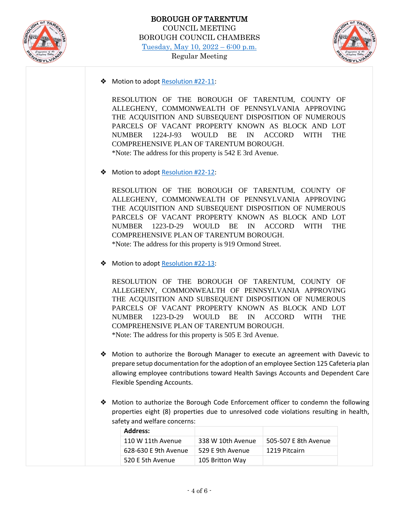



❖ Motion to adopt [Resolution #22-11:](http://tarentumboro.com/wp-content/uploads/2022/05/R22-11-Vacant-Property-Recovery-Program-1224-J-93-Draft.pdf)

RESOLUTION OF THE BOROUGH OF TARENTUM, COUNTY OF ALLEGHENY, COMMONWEALTH OF PENNSYLVANIA APPROVING THE ACQUISITION AND SUBSEQUENT DISPOSITION OF NUMEROUS PARCELS OF VACANT PROPERTY KNOWN AS BLOCK AND LOT NUMBER 1224-J-93 WOULD BE IN ACCORD WITH THE COMPREHENSIVE PLAN OF TARENTUM BOROUGH. \*Note: The address for this property is 542 E 3rd Avenue.

❖ Motion to adopt [Resolution #22-12:](http://tarentumboro.com/wp-content/uploads/2022/05/R22-12-Vacant-Property-Recovery-Program-1223-D-29-Draft.pdf)

RESOLUTION OF THE BOROUGH OF TARENTUM, COUNTY OF ALLEGHENY, COMMONWEALTH OF PENNSYLVANIA APPROVING THE ACQUISITION AND SUBSEQUENT DISPOSITION OF NUMEROUS PARCELS OF VACANT PROPERTY KNOWN AS BLOCK AND LOT NUMBER 1223-D-29 WOULD BE IN ACCORD WITH THE COMPREHENSIVE PLAN OF TARENTUM BOROUGH. \*Note: The address for this property is 919 Ormond Street.

❖ Motion to adopt [Resolution #22-13:](http://tarentumboro.com/wp-content/uploads/2022/05/R22-13-Vacant-Property-Recovery-Program-1223-M-116-Draft.pdf)

RESOLUTION OF THE BOROUGH OF TARENTUM, COUNTY OF ALLEGHENY, COMMONWEALTH OF PENNSYLVANIA APPROVING THE ACQUISITION AND SUBSEQUENT DISPOSITION OF NUMEROUS PARCELS OF VACANT PROPERTY KNOWN AS BLOCK AND LOT NUMBER 1223-D-29 WOULD BE IN ACCORD WITH THE COMPREHENSIVE PLAN OF TARENTUM BOROUGH. \*Note: The address for this property is 505 E 3rd Avenue.

- ❖ Motion to authorize the Borough Manager to execute an agreement with Davevic to prepare setup documentation for the adoption of an employee Section 125 Cafeteria plan allowing employee contributions toward Health Savings Accounts and Dependent Care Flexible Spending Accounts.
- ❖ Motion to authorize the Borough Code Enforcement officer to condemn the following properties eight (8) properties due to unresolved code violations resulting in health, safety and welfare concerns:

| Address:             |                   |                      |
|----------------------|-------------------|----------------------|
| 110 W 11th Avenue    | 338 W 10th Avenue | 505-507 E 8th Avenue |
| 628-630 E 9th Avenue | 529 F 9th Avenue  | 1219 Pitcairn        |
| 520 E 5th Avenue     | 105 Britton Way   |                      |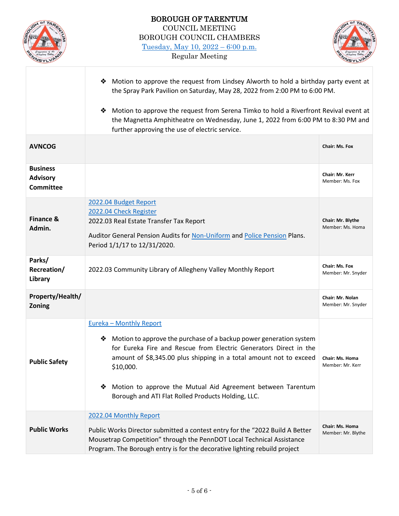



|                                                        | Motion to approve the request from Lindsey Alworth to hold a birthday party event at<br>❖<br>the Spray Park Pavilion on Saturday, May 28, 2022 from 2:00 PM to 6:00 PM.                                                                                                                                                                                                                     |                                        |
|--------------------------------------------------------|---------------------------------------------------------------------------------------------------------------------------------------------------------------------------------------------------------------------------------------------------------------------------------------------------------------------------------------------------------------------------------------------|----------------------------------------|
|                                                        | Motion to approve the request from Serena Timko to hold a Riverfront Revival event at<br>❖<br>the Magnetta Amphitheatre on Wednesday, June 1, 2022 from 6:00 PM to 8:30 PM and<br>further approving the use of electric service.                                                                                                                                                            |                                        |
| <b>AVNCOG</b>                                          |                                                                                                                                                                                                                                                                                                                                                                                             | <b>Chair: Ms. Fox</b>                  |
| <b>Business</b><br><b>Advisory</b><br><b>Committee</b> |                                                                                                                                                                                                                                                                                                                                                                                             | Chair: Mr. Kerr<br>Member: Ms. Fox     |
| <b>Finance &amp;</b><br>Admin.                         | 2022.04 Budget Report<br>2022.04 Check Register<br>2022.03 Real Estate Transfer Tax Report<br>Auditor General Pension Audits for Non-Uniform and Police Pension Plans.<br>Period 1/1/17 to 12/31/2020.                                                                                                                                                                                      | Chair: Mr. Blythe<br>Member: Ms. Homa  |
| Parks/<br>Recreation/<br>Library                       | 2022.03 Community Library of Allegheny Valley Monthly Report                                                                                                                                                                                                                                                                                                                                | Chair: Ms. Fox<br>Member: Mr. Snyder   |
| Property/Health/<br>Zoning                             |                                                                                                                                                                                                                                                                                                                                                                                             | Chair: Mr. Nolan<br>Member: Mr. Snyder |
| <b>Public Safety</b>                                   | <b>Eureka - Monthly Report</b><br>Motion to approve the purchase of a backup power generation system<br>❖<br>for Eureka Fire and Rescue from Electric Generators Direct in the<br>amount of \$8,345.00 plus shipping in a total amount not to exceed<br>\$10,000.<br>Motion to approve the Mutual Aid Agreement between Tarentum<br>❖<br>Borough and ATI Flat Rolled Products Holding, LLC. | Chair: Ms. Homa<br>Member: Mr. Kerr    |
| <b>Public Works</b>                                    | 2022.04 Monthly Report<br>Public Works Director submitted a contest entry for the "2022 Build A Better<br>Mousetrap Competition" through the PennDOT Local Technical Assistance<br>Program. The Borough entry is for the decorative lighting rebuild project                                                                                                                                | Chair: Ms. Homa<br>Member: Mr. Blythe  |